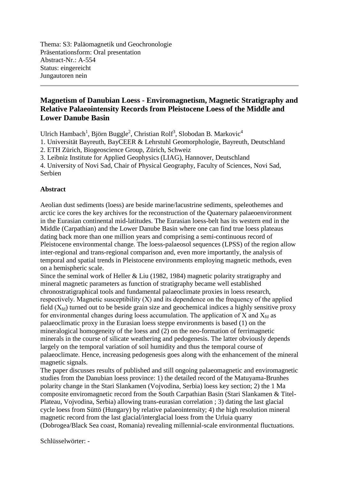Thema: S3: Paläomagnetik und Geochronologie Präsentationsform: Oral presentation Abstract-Nr.: A-554 Status: eingereicht Jungautoren nein

## **Magnetism of Danubian Loess - Enviromagnetism, Magnetic Stratigraphy and Relative Palaeointensity Records from Pleistocene Loess of the Middle and Lower Danube Basin**

Ulrich Hambach<sup>1</sup>, Björn Buggle<sup>2</sup>, Christian Rolf<sup>3</sup>, Slobodan B. Markovic<sup>4</sup>

1. Universität Bayreuth, BayCEER & Lehrstuhl Geomorphologie, Bayreuth, Deutschland

2. ETH Zürich, Biogeoscience Group, Zürich, Schweiz

3. Leibniz Institute for Applied Geophysics (LIAG), Hannover, Deutschland

4. University of Novi Sad, Chair of Physical Geography, Faculty of Sciences, Novi Sad, Serbien

## **Abstract**

Aeolian dust sediments (loess) are beside marine/lacustrine sediments, speleothemes and arctic ice cores the key archives for the reconstruction of the Quaternary palaeoenvironment in the Eurasian continental mid-latitudes. The Eurasian loess-belt has its western end in the Middle (Carpathian) and the Lower Danube Basin where one can find true loess plateaus dating back more than one million years and comprising a semi-continuous record of Pleistocene environmental change. The loess-palaeosol sequences (LPSS) of the region allow inter-regional and trans-regional comparison and, even more importantly, the analysis of temporal and spatial trends in Pleistocene environments employing magnetic methods, even on a hemispheric scale.

Since the seminal work of Heller & Liu (1982, 1984) magnetic polarity stratigraphy and mineral magnetic parameters as function of stratigraphy became well established chronostratigraphical tools and fundamental palaeoclimate proxies in loess research, respectively. Magnetic susceptibility (Χ) and its dependence on the frequency of the applied field  $(X_{fd})$  turned out to be beside grain size and geochemical indices a highly sensitive proxy for environmental changes during loess accumulation. The application of X and  $X_{td}$  as palaeoclimatic proxy in the Eurasian loess steppe environments is based (1) on the mineralogical homogeneity of the loess and (2) on the neo-formation of ferrimagnetic minerals in the course of silicate weathering and pedogenesis. The latter obviously depends largely on the temporal variation of soil humidity and thus the temporal course of palaeoclimate. Hence, increasing pedogenesis goes along with the enhancement of the mineral magnetic signals.

The paper discusses results of published and still ongoing palaeomagnetic and enviromagnetic studies from the Danubian loess province: 1) the detailed record of the Matuyama-Brunhes polarity change in the Stari Slankamen (Vojvodina, Serbia) loess key section; 2) the 1 Ma composite enviromagnetic record from the South Carpathian Basin (Stari Slankamen & Titel-Plateau, Vojvodina, Serbia) allowing trans-eurasian correlation ; 3) dating the last glacial cycle loess from Süttö (Hungary) by relative palaeointensity; 4) the high resolution mineral magnetic record from the last glacial/interglacial loess from the Urluia quarry (Dobrogea/Black Sea coast, Romania) revealing millennial-scale environmental fluctuations.

Schlüsselwörter: -